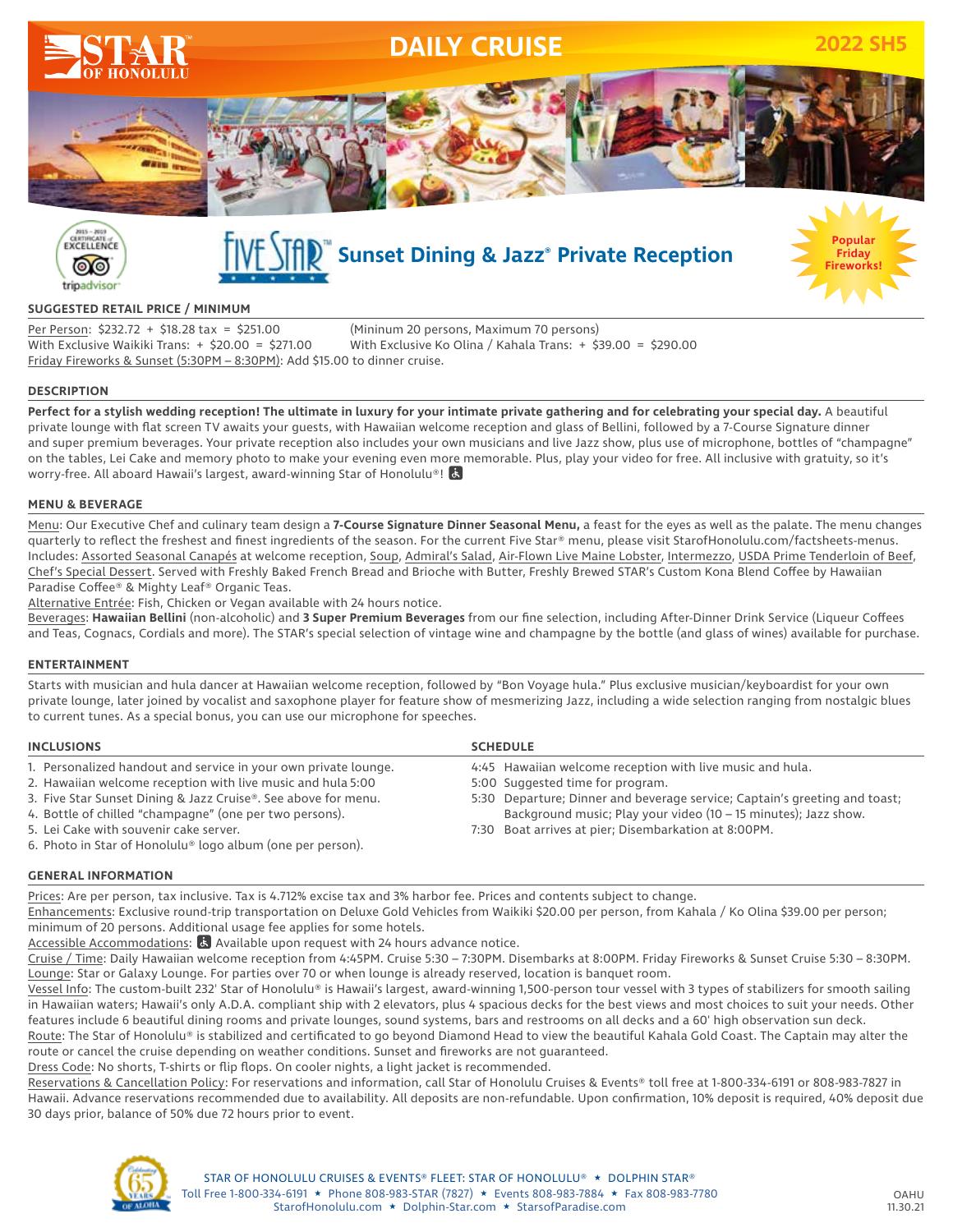



# $\sqrt{\frac{2}{\pi}}\int_0^\infty$  Sunset Dining & Jazz® Private Reception



#### **SUGGESTED RETAIL PRICE / MINIMUM**

Per Person: \$232.72 + \$18.28 tax = \$251.00 (Mininum 20 persons, Maximum 70 persons) With Exclusive Waikiki Trans: + \$20.00 = \$271.00 With Exclusive Ko Olina / Kahala Trans: + \$39.00 = \$290.00 Friday Fireworks & Sunset (5:30PM – 8:30PM): Add \$15.00 to dinner cruise.

#### **DESCRIPTION**

**Perfect for a stylish wedding reception! The ultimate in luxury for your intimate private gathering and for celebrating your special day.** A beautiful private lounge with flat screen TV awaits your guests, with Hawaiian welcome reception and glass of Bellini, followed by a 7-Course Signature dinner and super premium beverages. Your private reception also includes your own musicians and live Jazz show, plus use of microphone, bottles of "champagne" on the tables, Lei Cake and memory photo to make your evening even more memorable. Plus, play your video for free. All inclusive with gratuity, so it's worry-free. All aboard Hawaii's largest, award-winning Star of Honolulu®!

#### **MENU & BEVERAGE**

Menu: Our Executive Chef and culinary team design a **7-Course Signature Dinner Seasonal Menu,** a feast for the eyes as well as the palate. The menu changes quarterly to reflect the freshest and finest ingredients of the season. For the current Five Star® menu, please visit StarofHonolulu.com/factsheets-menus. Includes: Assorted Seasonal Canapés at welcome reception, Soup, Admiral's Salad, Air-Flown Live Maine Lobster, Intermezzo, USDA Prime Tenderloin of Beef, Chef's Special Dessert. Served with Freshly Baked French Bread and Brioche with Butter, Freshly Brewed STAR's Custom Kona Blend Coffee by Hawaiian Paradise Coffee® & Mighty Leaf® Organic Teas.

Alternative Entrée: Fish, Chicken or Vegan available with 24 hours notice.

Beverages: **Hawaiian Bellini** (non-alcoholic) and **3 Super Premium Beverages** from our fine selection, including After-Dinner Drink Service (Liqueur Coffees and Teas, Cognacs, Cordials and more). The STAR's special selection of vintage wine and champagne by the bottle (and glass of wines) available for purchase.

#### **ENTERTAINMENT**

Starts with musician and hula dancer at Hawaiian welcome reception, followed by "Bon Voyage hula." Plus exclusive musician/keyboardist for your own private lounge, later joined by vocalist and saxophone player for feature show of mesmerizing Jazz, including a wide selection ranging from nostalgic blues to current tunes. As a special bonus, you can use our microphone for speeches.

| <b>INCLUSIONS</b>                                               | <b>SCHEDULE</b>                                                            |
|-----------------------------------------------------------------|----------------------------------------------------------------------------|
| 1. Personalized handout and service in your own private lounge. | 4:45 Hawaiian welcome reception with live music and hula.                  |
| 2. Hawaiian welcome reception with live music and hula 5:00     | 5:00 Suggested time for program.                                           |
| 3. Five Star Sunset Dining & Jazz Cruise®. See above for menu.  | 5:30 Departure; Dinner and beverage service; Captain's greeting and toast; |
| 4. Bottle of chilled "champagne" (one per two persons).         | Background music; Play your video (10 – 15 minutes); Jazz show.            |
| 5. Lei Cake with souvenir cake server.                          | 7:30 Boat arrives at pier; Disembarkation at 8:00PM.                       |
| 6. Photo in Star of Honolulu® logo album (one per person).      |                                                                            |

#### **GENERAL INFORMATION**

Prices: Are per person, tax inclusive. Tax is 4.712% excise tax and 3% harbor fee. Prices and contents subject to change.

Enhancements: Exclusive round-trip transportation on Deluxe Gold Vehicles from Waikiki \$20.00 per person, from Kahala / Ko Olina \$39.00 per person; minimum of 20 persons. Additional usage fee applies for some hotels.

Accessible Accommodations:  $\mathbb{R}$  Available upon request with 24 hours advance notice.

Cruise / Time: Daily Hawaiian welcome reception from 4:45PM. Cruise 5:30 – 7:30PM. Disembarks at 8:00PM. Friday Fireworks & Sunset Cruise 5:30 – 8:30PM. Lounge: Star or Galaxy Lounge. For parties over 70 or when lounge is already reserved, location is banquet room.

Vessel Info: The custom-built 232' Star of Honolulu® is Hawaii's largest, award-winning 1,500-person tour vessel with 3 types of stabilizers for smooth sailing in Hawaiian waters; Hawaii's only A.D.A. compliant ship with 2 elevators, plus 4 spacious decks for the best views and most choices to suit your needs. Other features include 6 beautiful dining rooms and private lounges, sound systems, bars and restrooms on all decks and a 60' high observation sun deck. Route: The Star of Honolulu® is stabilized and certificated to go beyond Diamond Head to view the beautiful Kahala Gold Coast. The Captain may alter the

route or cancel the cruise depending on weather conditions. Sunset and fireworks are not guaranteed.

Dress Code: No shorts, T-shirts or flip flops. On cooler nights, a light jacket is recommended.

Reservations & Cancellation Policy: For reservations and information, call Star of Honolulu Cruises & Events® toll free at 1-800-334-6191 or 808-983-7827 in Hawaii. Advance reservations recommended due to availability. All deposits are non-refundable. Upon confirmation, 10% deposit is required, 40% deposit due 30 days prior, balance of 50% due 72 hours prior to event.